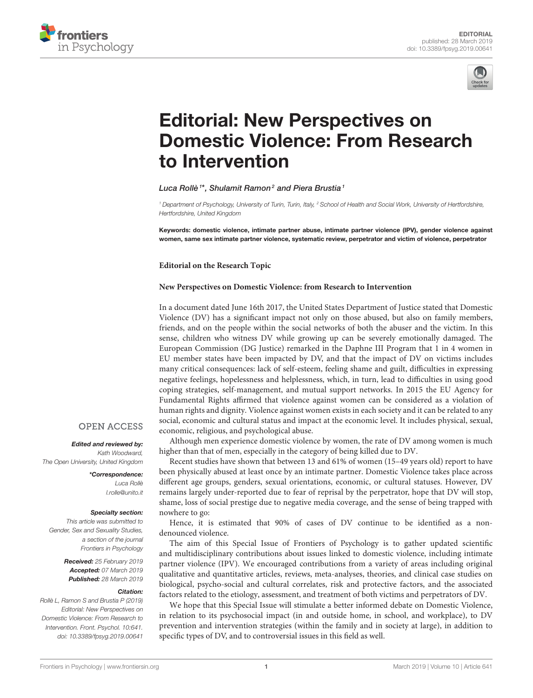



# Editorial: New Perspectives on [Domestic Violence: From Research](https://www.frontiersin.org/articles/10.3389/fpsyg.2019.00641/full) to Intervention

[Luca Rollè](http://loop.frontiersin.org/people/238465/overview)<sup>1\*</sup>, [Shulamit Ramon](http://loop.frontiersin.org/people/480512/overview)<sup>2</sup> and [Piera Brustia](http://loop.frontiersin.org/people/355517/overview)<sup>1</sup>

<sup>1</sup> Department of Psychology, University of Turin, Turin, Italy, <sup>2</sup> School of Health and Social Work, University of Hertfordshire, Hertfordshire, United Kingdom

Keywords: domestic violence, intimate partner abuse, intimate partner violence (IPV), gender violence against women, same sex intimate partner violence, systematic review, perpetrator and victim of violence, perpetrator

**Editorial on the Research Topic**

## **[New Perspectives on Domestic Violence: from Research to Intervention](https://www.frontiersin.org/research-topics/7073/new-perspectives-on-domestic-violence-from-research-to-intervention)**

In a document dated June 16th 2017, the United States Department of Justice stated that Domestic Violence (DV) has a significant impact not only on those abused, but also on family members, friends, and on the people within the social networks of both the abuser and the victim. In this sense, children who witness DV while growing up can be severely emotionally damaged. The European Commission (DG Justice) remarked in the Daphne III Program that 1 in 4 women in EU member states have been impacted by DV, and that the impact of DV on victims includes many critical consequences: lack of self-esteem, feeling shame and guilt, difficulties in expressing negative feelings, hopelessness and helplessness, which, in turn, lead to difficulties in using good coping strategies, self-management, and mutual support networks. In 2015 the EU Agency for Fundamental Rights affirmed that violence against women can be considered as a violation of human rights and dignity. Violence against women exists in each society and it can be related to any social, economic and cultural status and impact at the economic level. It includes physical, sexual, economic, religious, and psychological abuse.

Although men experience domestic violence by women, the rate of DV among women is much higher than that of men, especially in the category of being killed due to DV.

Recent studies have shown that between 13 and 61% of women (15–49 years old) report to have been physically abused at least once by an intimate partner. Domestic Violence takes place across different age groups, genders, sexual orientations, economic, or cultural statuses. However, DV remains largely under-reported due to fear of reprisal by the perpetrator, hope that DV will stop, shame, loss of social prestige due to negative media coverage, and the sense of being trapped with nowhere to go:

Hence, it is estimated that 90% of cases of DV continue to be identified as a nondenounced violence.

The aim of this Special Issue of Frontiers of Psychology is to gather updated scientific and multidisciplinary contributions about issues linked to domestic violence, including intimate partner violence (IPV). We encouraged contributions from a variety of areas including original qualitative and quantitative articles, reviews, meta-analyses, theories, and clinical case studies on biological, psycho-social and cultural correlates, risk and protective factors, and the associated factors related to the etiology, assessment, and treatment of both victims and perpetrators of DV.

We hope that this Special Issue will stimulate a better informed debate on Domestic Violence, in relation to its psychosocial impact (in and outside home, in school, and workplace), to DV prevention and intervention strategies (within the family and in society at large), in addition to specific types of DV, and to controversial issues in this field as well.

## **OPEN ACCESS**

### Edited and reviewed by:

Kath Woodward, The Open University, United Kingdom

> \*Correspondence: Luca Rollè [l.rolle@unito.it](mailto:l.rolle@unito.it)

#### Specialty section:

This article was submitted to Gender, Sex and Sexuality Studies, a section of the journal Frontiers in Psychology

> Received: 25 February 2019 Accepted: 07 March 2019 Published: 28 March 2019

#### Citation:

Rollè L, Ramon S and Brustia P (2019) Editorial: New Perspectives on Domestic Violence: From Research to Intervention. Front. Psychol. 10:641. doi: [10.3389/fpsyg.2019.00641](https://doi.org/10.3389/fpsyg.2019.00641)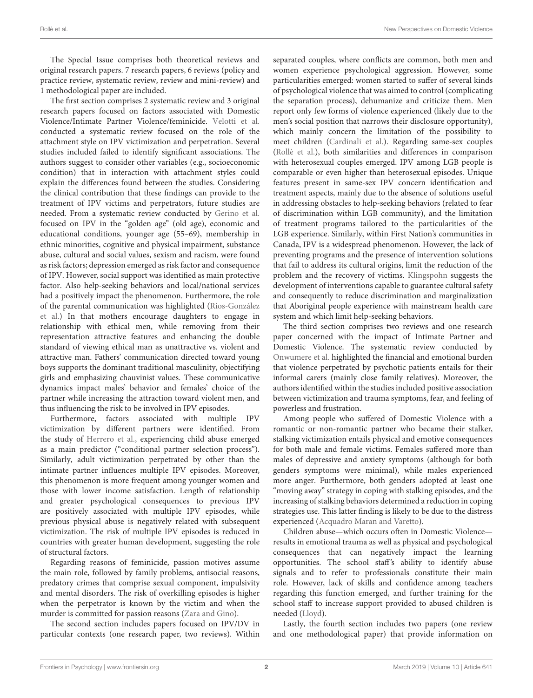The Special Issue comprises both theoretical reviews and original research papers. 7 research papers, 6 reviews (policy and practice review, systematic review, review and mini-review) and 1 methodological paper are included.

The first section comprises 2 systematic review and 3 original research papers focused on factors associated with Domestic Violence/Intimate Partner Violence/feminicide. [Velotti et al.](https://doi.org/10.3389/fpsyg.2018.01166) conducted a systematic review focused on the role of the attachment style on IPV victimization and perpetration. Several studies included failed to identify significant associations. The authors suggest to consider other variables (e.g., socioeconomic condition) that in interaction with attachment styles could explain the differences found between the studies. Considering the clinical contribution that these findings can provide to the treatment of IPV victims and perpetrators, future studies are needed. From a systematic review conducted by [Gerino et al.](https://doi.org/10.3389/fpsyg.2018.01595) focused on IPV in the "golden age" (old age), economic and educational conditions, younger age (55–69), membership in ethnic minorities, cognitive and physical impairment, substance abuse, cultural and social values, sexism and racism, were found as risk factors; depression emerged as risk factor and consequence of IPV. However, social support was identified as main protective factor. Also help-seeking behaviors and local/national services had a positively impact the phenomenon. Furthermore, the role [of the parental communication was highlighted \(Rios-González](https://doi.org/10.3389/fsoc.2018.00019) et al.) In that mothers encourage daughters to engage in relationship with ethical men, while removing from their representation attractive features and enhancing the double standard of viewing ethical man as unattractive vs. violent and attractive man. Fathers' communication directed toward young boys supports the dominant traditional masculinity, objectifying girls and emphasizing chauvinist values. These communicative dynamics impact males' behavior and females' choice of the partner while increasing the attraction toward violent men, and thus influencing the risk to be involved in IPV episodes.

Furthermore, factors associated with multiple IPV victimization by different partners were identified. From the study of [Herrero et al.,](https://doi.org/10.3389/fpsyg.2018.00877) experiencing child abuse emerged as a main predictor ("conditional partner selection process"). Similarly, adult victimization perpetrated by other than the intimate partner influences multiple IPV episodes. Moreover, this phenomenon is more frequent among younger women and those with lower income satisfaction. Length of relationship and greater psychological consequences to previous IPV are positively associated with multiple IPV episodes, while previous physical abuse is negatively related with subsequent victimization. The risk of multiple IPV episodes is reduced in countries with greater human development, suggesting the role of structural factors.

Regarding reasons of feminicide, passion motives assume the main role, followed by family problems, antisocial reasons, predatory crimes that comprise sexual component, impulsivity and mental disorders. The risk of overkilling episodes is higher when the perpetrator is known by the victim and when the murder is committed for passion reasons [\(Zara and Gino\)](https://doi.org/10.3389/fpsyg.2018.01777).

The second section includes papers focused on IPV/DV in particular contexts (one research paper, two reviews). Within separated couples, where conflicts are common, both men and women experience psychological aggression. However, some particularities emerged: women started to suffer of several kinds of psychological violence that was aimed to control (complicating the separation process), dehumanize and criticize them. Men report only few forms of violence experienced (likely due to the men's social position that narrows their disclosure opportunity), which mainly concern the limitation of the possibility to meet children [\(Cardinali et al.\)](https://doi.org/10.3389/fpsyg.2018.01602). Regarding same-sex couples [\(Rollè et al.\)](https://doi.org/10.3389/fpsyg.2018.01506), both similarities and differences in comparison with heterosexual couples emerged. IPV among LGB people is comparable or even higher than heterosexual episodes. Unique features present in same-sex IPV concern identification and treatment aspects, mainly due to the absence of solutions useful in addressing obstacles to help-seeking behaviors (related to fear of discrimination within LGB community), and the limitation of treatment programs tailored to the particularities of the LGB experience. Similarly, within First Nation's communities in Canada, IPV is a widespread phenomenon. However, the lack of preventing programs and the presence of intervention solutions that fail to address its cultural origins, limit the reduction of the problem and the recovery of victims. [Klingspohn](https://doi.org/10.3389/fpsyg.2018.00872) suggests the development of interventions capable to guarantee cultural safety and consequently to reduce discrimination and marginalization that Aboriginal people experience with mainstream health care system and which limit help-seeking behaviors.

The third section comprises two reviews and one research paper concerned with the impact of Intimate Partner and Domestic Violence. The systematic review conducted by [Onwumere et al.](https://doi.org/10.3389/fpsyg.2018.01530) highlighted the financial and emotional burden that violence perpetrated by psychotic patients entails for their informal carers (mainly close family relatives). Moreover, the authors identified within the studies included positive association between victimization and trauma symptoms, fear, and feeling of powerless and frustration.

Among people who suffered of Domestic Violence with a romantic or non-romantic partner who became their stalker, stalking victimization entails physical and emotive consequences for both male and female victims. Females suffered more than males of depressive and anxiety symptoms (although for both genders symptoms were minimal), while males experienced more anger. Furthermore, both genders adopted at least one "moving away" strategy in coping with stalking episodes, and the increasing of stalking behaviors determined a reduction in coping strategies use. This latter finding is likely to be due to the distress experienced [\(Acquadro Maran and Varetto\)](https://doi.org/10.3389/fpsyg.2018.00321).

Children abuse—which occurs often in Domestic Violence results in emotional trauma as well as physical and psychological consequences that can negatively impact the learning opportunities. The school staff's ability to identify abuse signals and to refer to professionals constitute their main role. However, lack of skills and confidence among teachers regarding this function emerged, and further training for the school staff to increase support provided to abused children is needed [\(Lloyd\)](https://doi.org/10.3389/fpsyg.2018.02094).

Lastly, the fourth section includes two papers (one review and one methodological paper) that provide information on